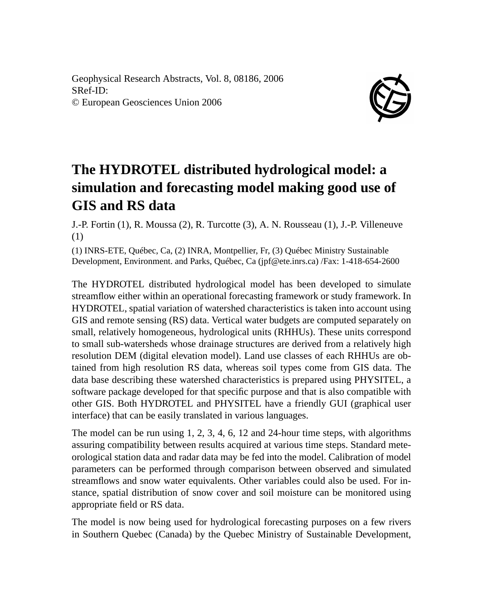Geophysical Research Abstracts, Vol. 8, 08186, 2006 SRef-ID: © European Geosciences Union 2006



## **The HYDROTEL distributed hydrological model: a simulation and forecasting model making good use of GIS and RS data**

J.-P. Fortin (1), R. Moussa (2), R. Turcotte (3), A. N. Rousseau (1), J.-P. Villeneuve (1)

(1) INRS-ETE, Québec, Ca, (2) INRA, Montpellier, Fr, (3) Québec Ministry Sustainable Development, Environment. and Parks, Québec, Ca (jpf@ete.inrs.ca) /Fax: 1-418-654-2600

The HYDROTEL distributed hydrological model has been developed to simulate streamflow either within an operational forecasting framework or study framework. In HYDROTEL, spatial variation of watershed characteristics is taken into account using GIS and remote sensing (RS) data. Vertical water budgets are computed separately on small, relatively homogeneous, hydrological units (RHHUs). These units correspond to small sub-watersheds whose drainage structures are derived from a relatively high resolution DEM (digital elevation model). Land use classes of each RHHUs are obtained from high resolution RS data, whereas soil types come from GIS data. The data base describing these watershed characteristics is prepared using PHYSITEL, a software package developed for that specific purpose and that is also compatible with other GIS. Both HYDROTEL and PHYSITEL have a friendly GUI (graphical user interface) that can be easily translated in various languages.

The model can be run using 1, 2, 3, 4, 6, 12 and 24-hour time steps, with algorithms assuring compatibility between results acquired at various time steps. Standard meteorological station data and radar data may be fed into the model. Calibration of model parameters can be performed through comparison between observed and simulated streamflows and snow water equivalents. Other variables could also be used. For instance, spatial distribution of snow cover and soil moisture can be monitored using appropriate field or RS data.

The model is now being used for hydrological forecasting purposes on a few rivers in Southern Quebec (Canada) by the Quebec Ministry of Sustainable Development,